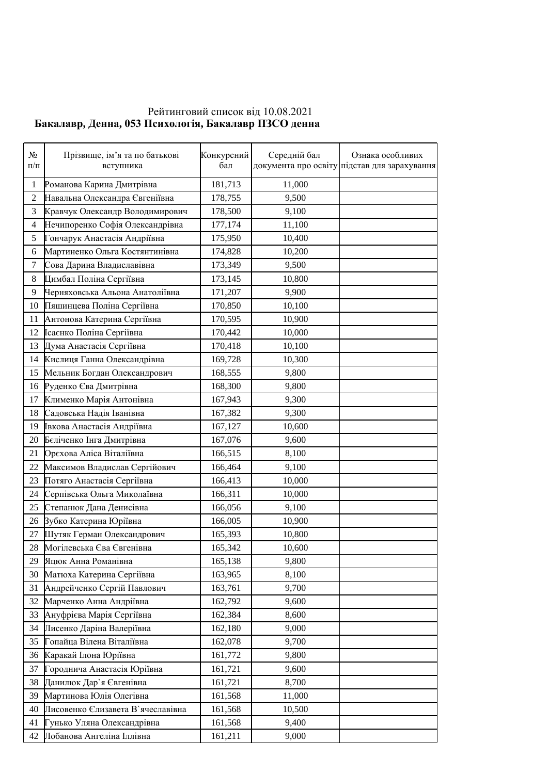## Рейтинговий список від 10.08.2021 **Бакалавр, Денна, 053 Психологія, Бакалавр ПЗСО денна**

| $N_{2}$<br>$\Pi/\Pi$ | Прізвище, ім'я та по батькові<br>вступника | Конкурсний<br>бал | Середній бал | Ознака особливих<br>документа про освіту підстав для зарахування |
|----------------------|--------------------------------------------|-------------------|--------------|------------------------------------------------------------------|
| 1                    | Романова Карина Дмитрівна                  | 181,713           | 11,000       |                                                                  |
| $\overline{c}$       | Навальна Олександра Євгеніївна             | 178,755           | 9,500        |                                                                  |
| 3                    | Кравчук Олександр Володимирович            | 178,500           | 9,100        |                                                                  |
| 4                    | Нечипоренко Софія Олександрівна            | 177,174           | 11,100       |                                                                  |
| 5                    | Гончарук Анастасія Андріївна               | 175,950           | 10,400       |                                                                  |
| 6                    | Мартиненко Ольга Костянтинівна             | 174,828           | 10,200       |                                                                  |
| $\boldsymbol{7}$     | Сова Дарина Владиславівна                  | 173,349           | 9,500        |                                                                  |
| $\,8\,$              | Цимбал Поліна Сергіївна                    | 173,145           | 10,800       |                                                                  |
| 9                    | Черняховська Альона Анатоліївна            | 171,207           | 9,900        |                                                                  |
| 10                   | Пяшинцева Поліна Сергіївна                 | 170,850           | 10,100       |                                                                  |
| 11                   | Антонова Катерина Сергіївна                | 170,595           | 10,900       |                                                                  |
| 12                   | Ісаєнко Поліна Сергіївна                   | 170,442           | 10,000       |                                                                  |
| 13                   | Дума Анастасія Сергіївна                   | 170,418           | 10,100       |                                                                  |
| 14                   | Кислиця Ганна Олександрівна                | 169,728           | 10,300       |                                                                  |
| 15                   | Мельник Богдан Олександрович               | 168,555           | 9,800        |                                                                  |
| 16                   | Руденко Єва Дмитрівна                      | 168,300           | 9,800        |                                                                  |
| 17                   | Клименко Марія Антонівна                   | 167,943           | 9,300        |                                                                  |
| 18                   | Садовська Надія Іванівна                   | 167,382           | 9,300        |                                                                  |
| 19                   | Івкова Анастасія Андріївна                 | 167,127           | 10,600       |                                                                  |
| 20                   | Беліченко Інга Дмитрівна                   | 167,076           | 9,600        |                                                                  |
| 21                   | Орєхова Аліса Віталіївна                   | 166,515           | 8,100        |                                                                  |
| 22                   | Максимов Владислав Сергійович              | 166,464           | 9,100        |                                                                  |
| 23                   | Потяго Анастасія Сергіївна                 | 166,413           | 10,000       |                                                                  |
| 24                   | Серпівська Ольга Миколаївна                | 166,311           | 10,000       |                                                                  |
| 25                   | Степанюк Дана Денисівна                    | 166,056           | 9,100        |                                                                  |
| 26                   | Зубко Катерина Юріївна                     | 166,005           | 10,900       |                                                                  |
| 27                   | Шутяк Герман Олександрович                 | 165,393           | 10,800       |                                                                  |
| 28                   | Могілевська Єва Євгенівна                  | 165,342           | 10,600       |                                                                  |
| 29                   | Яцюк Анна Романівна                        | 165,138           | 9,800        |                                                                  |
| 30                   | Матюха Катерина Сергіївна                  | 163,965           | 8,100        |                                                                  |
| 31                   | Андрейченко Сергій Павлович                | 163,761           | 9,700        |                                                                  |
| 32                   | Марченко Анна Андріївна                    | 162,792           | 9,600        |                                                                  |
| 33                   | Ануфрієва Марія Сергіївна                  | 162,384           | 8,600        |                                                                  |
| 34                   | Лисенко Даріна Валеріївна                  | 162,180           | 9,000        |                                                                  |
| 35                   | Гопайца Вілена Віталіївна                  | 162,078           | 9,700        |                                                                  |
| 36                   | Каракай Ілона Юріївна                      | 161,772           | 9,800        |                                                                  |
| 37                   | Городнича Анастасія Юріївна                | 161,721           | 9,600        |                                                                  |
| 38                   | Данилюк Дар`я Євгенівна                    | 161,721           | 8,700        |                                                                  |
| 39                   | Мартинова Юлія Олегівна                    | 161,568           | 11,000       |                                                                  |
| 40                   | Лисовенко Єлизавета В'ячеславівна          | 161,568           | 10,500       |                                                                  |
| 41                   | унько Уляна Олександрівна                  | 161,568           | 9,400        |                                                                  |
| 42                   | Лобанова Ангеліна Іллівна                  | 161,211           | 9,000        |                                                                  |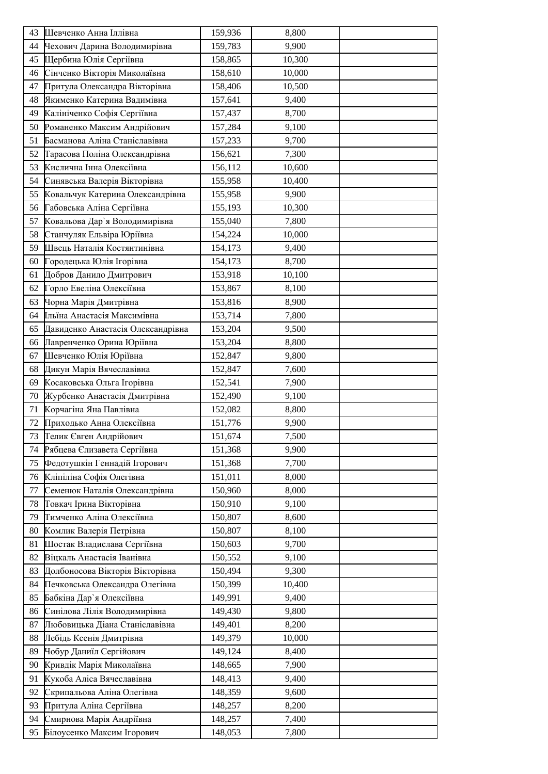| 43 | Шевченко Анна Іллівна             | 159,936 | 8,800  |  |
|----|-----------------------------------|---------|--------|--|
| 44 | Чехович Дарина Володимирівна      | 159,783 | 9,900  |  |
| 45 | Щербина Юлія Сергіївна            | 158,865 | 10,300 |  |
| 46 | Сінченко Вікторія Миколаївна      | 158,610 | 10,000 |  |
| 47 | Притула Олександра Вікторівна     | 158,406 | 10,500 |  |
| 48 | Якименко Катерина Вадимівна       | 157,641 | 9,400  |  |
| 49 | Калініченко Софія Сергіївна       | 157,437 | 8,700  |  |
| 50 | Романенко Максим Андрійович       | 157,284 | 9,100  |  |
| 51 | Басманова Аліна Станіславівна     | 157,233 | 9,700  |  |
| 52 | Тарасова Поліна Олександрівна     | 156,621 | 7,300  |  |
| 53 | Кислична Інна Олексіївна          | 156,112 | 10,600 |  |
| 54 | Синявська Валерія Вікторівна      | 155,958 | 10,400 |  |
| 55 | Ковальчук Катерина Олександрівна  | 155,958 | 9,900  |  |
| 56 | Габовська Аліна Сергіївна         | 155,193 | 10,300 |  |
| 57 | Ковальова Дар'я Володимирівна     | 155,040 | 7,800  |  |
| 58 | Станчуляк Ельвіра Юріївна         | 154,224 | 10,000 |  |
| 59 | Швець Наталія Костянтинівна       | 154,173 | 9,400  |  |
| 60 | Городецька Юлія Ігорівна          | 154,173 | 8,700  |  |
| 61 | Добров Данило Дмитрович           | 153,918 | 10,100 |  |
| 62 | Горло Евеліна Олексіївна          | 153,867 | 8,100  |  |
| 63 | Чорна Марія Дмитрівна             | 153,816 | 8,900  |  |
| 64 | Ільїна Анастасія Максимівна       | 153,714 | 7,800  |  |
| 65 | Давиденко Анастасія Олександрівна | 153,204 | 9,500  |  |
| 66 | Лавренченко Орина Юріївна         | 153,204 | 8,800  |  |
| 67 | Шевченко Юлія Юріївна             | 152,847 | 9,800  |  |
| 68 | Дикун Марія Вячеславівна          | 152,847 | 7,600  |  |
| 69 | Косаковська Ольга Ігорівна        | 152,541 | 7,900  |  |
| 70 | Журбенко Анастасія Дмитрівна      | 152,490 | 9,100  |  |
| 71 | Корчагіна Яна Павлівна            | 152,082 | 8,800  |  |
| 72 | Приходько Анна Олексіївна         | 151,776 | 9,900  |  |
| 73 | Телик Євген Андрійович            | 151,674 | 7,500  |  |
| 74 | Рябцева Єлизавета Сергіївна       | 151,368 | 9,900  |  |
| 75 | Федотушкін Геннадій Ігорович      | 151,368 | 7,700  |  |
| 76 | Кліпіліна Софія Олегівна          | 151,011 | 8,000  |  |
| 77 | Семенюк Наталія Олександрівна     | 150,960 | 8,000  |  |
| 78 | Товкач Ірина Вікторівна           | 150,910 | 9,100  |  |
| 79 | Тимченко Аліна Олексіївна         | 150,807 | 8,600  |  |
| 80 | Комлик Валерія Петрівна           | 150,807 | 8,100  |  |
| 81 | Шостак Владислава Сергіївна       | 150,603 | 9,700  |  |
| 82 | Віцкаль Анастасія Іванівна        | 150,552 | 9,100  |  |
| 83 | Долбоносова Вікторія Вікторівна   | 150,494 | 9,300  |  |
| 84 | Печковська Олександра Олегівна    | 150,399 | 10,400 |  |
| 85 | Бабкіна Дар'я Олексіївна          | 149,991 | 9,400  |  |
| 86 | Синілова Лілія Володимирівна      | 149,430 | 9,800  |  |
| 87 | Любовицька Діана Станіславівна    | 149,401 | 8,200  |  |
| 88 | Лебідь Ксенія Дмитрівна           | 149,379 | 10,000 |  |
| 89 | Чобур Даниїл Сергійович           | 149,124 | 8,400  |  |
| 90 | Кривдік Марія Миколаївна          | 148,665 | 7,900  |  |
| 91 | Кукоба Аліса Вячеславівна         | 148,413 | 9,400  |  |
| 92 | Скрипальова Аліна Олегівна        | 148,359 | 9,600  |  |
| 93 | Притула Аліна Сергіївна           | 148,257 | 8,200  |  |
| 94 | Смирнова Марія Андріївна          | 148,257 | 7,400  |  |
| 95 | Білоусенко Максим Ігорович        | 148,053 | 7,800  |  |
|    |                                   |         |        |  |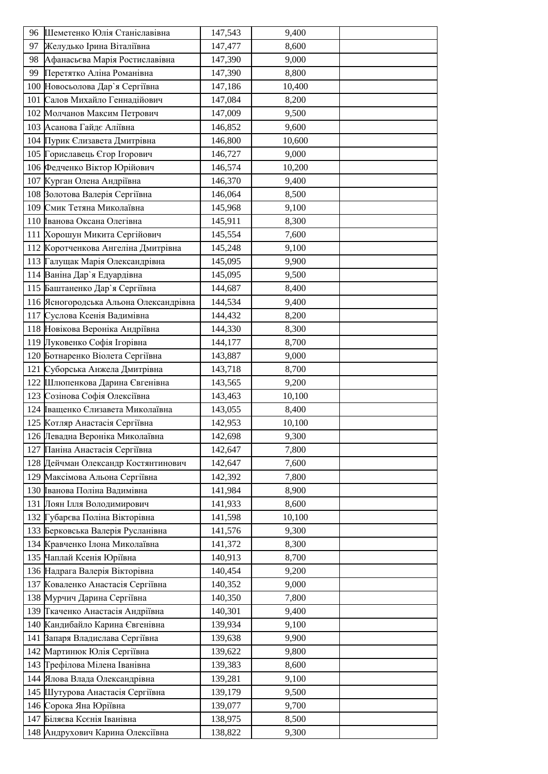|    | 96 Шеметенко Юлія Станіславівна        | 147,543 | 9,400  |  |
|----|----------------------------------------|---------|--------|--|
| 97 | Желудько Ірина Віталіївна              | 147,477 | 8,600  |  |
| 98 | Афанасьєва Марія Ростиславівна         | 147,390 | 9,000  |  |
| 99 | Перетятко Аліна Романівна              | 147,390 | 8,800  |  |
|    | 100 Новосьолова Дар'я Сергіївна        | 147,186 | 10,400 |  |
|    | 101 Салов Михайло Геннадійович         | 147,084 | 8,200  |  |
|    | 102 Молчанов Максим Петрович           | 147,009 | 9,500  |  |
|    | 103 Асанова Гайдє Аліївна              | 146,852 | 9,600  |  |
|    | 104 Пурик Єлизавета Дмитрівна          | 146,800 | 10,600 |  |
|    | 105 Гориславець Єгор Ігорович          | 146,727 | 9,000  |  |
|    | 106 Федченко Віктор Юрійович           | 146,574 | 10,200 |  |
|    | 107 Курган Олена Андріївна             | 146,370 | 9,400  |  |
|    | 108 Волотова Валерія Сергіївна         | 146,064 | 8,500  |  |
|    | 109 Смик Тетяна Миколаївна             | 145,968 | 9,100  |  |
|    | 110 Ванова Оксана Олегівна             | 145,911 | 8,300  |  |
|    | 111 Хорошун Микита Сергійович          | 145,554 | 7,600  |  |
|    | 112 Коротченкова Ангеліна Дмитрівна    | 145,248 | 9,100  |  |
|    | 113 Галущак Марія Олександрівна        | 145,095 | 9,900  |  |
|    | 114 Ваніна Дар'я Едуардівна            | 145,095 | 9,500  |  |
|    | 115 Баштаненко Дар'я Сергіївна         | 144,687 | 8,400  |  |
|    | 116 Ясногородська Альона Олександрівна | 144,534 | 9,400  |  |
|    | 117 Суслова Ксенія Вадимівна           | 144,432 | 8,200  |  |
|    | 118 Новікова Вероніка Андріївна        | 144,330 | 8,300  |  |
|    | 119 Луковенко Софія Ігорівна           | 144,177 | 8,700  |  |
|    | 120 Ботнаренко Віолета Сергіївна       | 143,887 | 9,000  |  |
|    | 121 Суборська Анжела Дмитрівна         | 143,718 | 8,700  |  |
|    | 122 Шлюпенкова Дарина Євгенівна        | 143,565 | 9,200  |  |
|    | 123 Созінова Софія Олексіївна          | 143,463 | 10,100 |  |
|    | 124 Іващенко Єлизавета Миколаївна      | 143,055 | 8,400  |  |
|    | 125 Котляр Анастасія Сергіївна         | 142,953 | 10,100 |  |
|    | 126 Левадна Вероніка Миколаївна        | 142,698 | 9,300  |  |
|    | 127 Паніна Анастасія Сергіївна         | 142,647 | 7,800  |  |
|    | 128 Дейчман Олександр Костянтинович    | 142,647 | 7,600  |  |
|    | 129 Максімова Альона Сергіївна         | 142,392 | 7,800  |  |
|    | 130 Іванова Поліна Вадимівна           | 141,984 | 8,900  |  |
|    | 131 Лоян Ілля Володимирович            | 141,933 | 8,600  |  |
|    | 132 Губарєва Поліна Вікторівна         | 141,598 | 10,100 |  |
|    | 133 Берковська Валерія Русланівна      | 141,576 | 9,300  |  |
|    | 134 Кравченко Ілона Миколаївна         | 141,372 | 8,300  |  |
|    | 135 Чаплай Ксенія Юріївна              | 140,913 | 8,700  |  |
|    | 136 Надрага Валерія Вікторівна         | 140,454 | 9,200  |  |
|    | 137 Коваленко Анастасія Сергіївна      | 140,352 | 9,000  |  |
|    | 138 Мурчич Дарина Сергіївна            | 140,350 | 7,800  |  |
|    | 139 Ткаченко Анастасія Андріївна       | 140,301 | 9,400  |  |
|    | 140 Кандибайло Карина Євгенівна        | 139,934 | 9,100  |  |
|    | 141 Вапаря Владислава Сергіївна        | 139,638 | 9,900  |  |
|    | 142 Мартинюк Юлія Сергіївна            | 139,622 | 9,800  |  |
|    | 143 Грефілова Мілена Іванівна          | 139,383 | 8,600  |  |
|    | 144 Ялова Влада Олександрівна          | 139,281 | 9,100  |  |
|    | 145 Шутурова Анастасія Сергіївна       | 139,179 | 9,500  |  |
|    | 146 Сорока Яна Юріївна                 | 139,077 | 9,700  |  |
|    | 147 Біляєва Ксєнія Іванівна            | 138,975 | 8,500  |  |
|    | 148 Андрухович Карина Олексіївна       | 138,822 | 9,300  |  |
|    |                                        |         |        |  |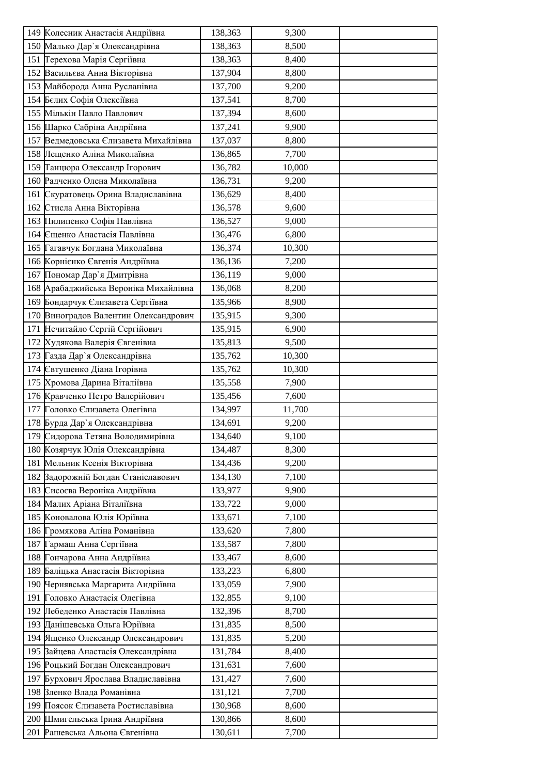| 149 Колесник Анастасія Андріївна      | 138,363 | 9,300  |  |
|---------------------------------------|---------|--------|--|
| 150 Малько Дар'я Олександрівна        | 138,363 | 8,500  |  |
| 151 Герехова Марія Сергіївна          | 138,363 | 8,400  |  |
| 152 Васильєва Анна Вікторівна         | 137,904 | 8,800  |  |
| 153 Майборода Анна Русланівна         | 137,700 | 9,200  |  |
| 154 Белих Софія Олексіївна            | 137,541 | 8,700  |  |
| 155 Мількін Павло Павлович            | 137,394 | 8,600  |  |
| 156 Шарко Сабріна Андріївна           | 137,241 | 9,900  |  |
| 157 Ведмедовська Єлизавета Михайлівна | 137,037 | 8,800  |  |
| 158 Лещенко Аліна Миколаївна          | 136,865 | 7,700  |  |
| 159 Танцюра Олександр Ігорович        | 136,782 | 10,000 |  |
| 160 Радченко Олена Миколаївна         | 136,731 | 9,200  |  |
| 161 Скуратовець Орина Владиславівна   | 136,629 | 8,400  |  |
| 162 Стисла Анна Вікторівна            | 136,578 | 9,600  |  |
| 163 Пилипенко Софія Павлівна          | 136,527 | 9,000  |  |
| 164 Єщенко Анастасія Павлівна         | 136,476 | 6,800  |  |
| 165 Гагавчук Богдана Миколаївна       | 136,374 | 10,300 |  |
| 166 Корнієнко Євгенія Андріївна       | 136,136 | 7,200  |  |
| 167 Пономар Дар'я Дмитрівна           | 136,119 | 9,000  |  |
| 168 Арабаджийська Вероніка Михайлівна | 136,068 | 8,200  |  |
| 169 Бондарчук Єлизавета Сергіївна     | 135,966 | 8,900  |  |
| 170 Виноградов Валентин Олександрович | 135,915 | 9,300  |  |
| 171 Нечитайло Сергій Сергійович       | 135,915 | 6,900  |  |
| 172 Худякова Валерія Євгенівна        | 135,813 | 9,500  |  |
| 173 Газда Дар'я Олександрівна         | 135,762 | 10,300 |  |
| 174 Євтушенко Діана Ігорівна          | 135,762 | 10,300 |  |
| 175 Хромова Дарина Віталіївна         | 135,558 | 7,900  |  |
| 176 Кравченко Петро Валерійович       | 135,456 | 7,600  |  |
| 177 Головко Єлизавета Олегівна        | 134,997 | 11,700 |  |
| 178 Бурда Дар'я Олександрівна         | 134,691 | 9,200  |  |
| 179 Сидорова Тетяна Володимирівна     | 134,640 | 9,100  |  |
| 180 Козярчук Юлія Олександрівна       | 134,487 | 8,300  |  |
| 181 Мельник Ксенія Вікторівна         | 134,436 | 9,200  |  |
| 182 Вадорожній Богдан Станіславович   | 134,130 | 7,100  |  |
| 183 Сисоєва Вероніка Андріївна        | 133,977 | 9,900  |  |
| 184 Малих Аріана Віталіївна           | 133,722 | 9,000  |  |
| 185 Коновалова Юлія Юріївна           | 133,671 | 7,100  |  |
| 186 Громякова Аліна Романівна         | 133,620 | 7,800  |  |
| 187 Гармаш Анна Сергіївна             | 133,587 | 7,800  |  |
| 188 Гончарова Анна Андріївна          | 133,467 | 8,600  |  |
| 189 Баліцька Анастасія Вікторівна     | 133,223 | 6,800  |  |
| 190 Чернявська Маргарита Андріївна    | 133,059 | 7,900  |  |
| 191 Головко Анастасія Олегівна        | 132,855 | 9,100  |  |
| 192 Лебеденко Анастасія Павлівна      | 132,396 | 8,700  |  |
| 193 Данішевська Ольга Юріївна         | 131,835 | 8,500  |  |
| 194 Ященко Олександр Олександрович    | 131,835 | 5,200  |  |
| 195 Вайцева Анастасія Олександрівна   | 131,784 | 8,400  |  |
| 196 Роцький Богдан Олександрович      | 131,631 | 7,600  |  |
| 197 Бурхович Ярослава Владиславівна   | 131,427 | 7,600  |  |
| 198 Вленко Влада Романівна            | 131,121 | 7,700  |  |
| 199 Поясок Єлизавета Ростиславівна    | 130,968 | 8,600  |  |
| 200 Шмигельська Ірина Андріївна       | 130,866 | 8,600  |  |
| 201 Рашевська Альона Євгенівна        | 130,611 | 7,700  |  |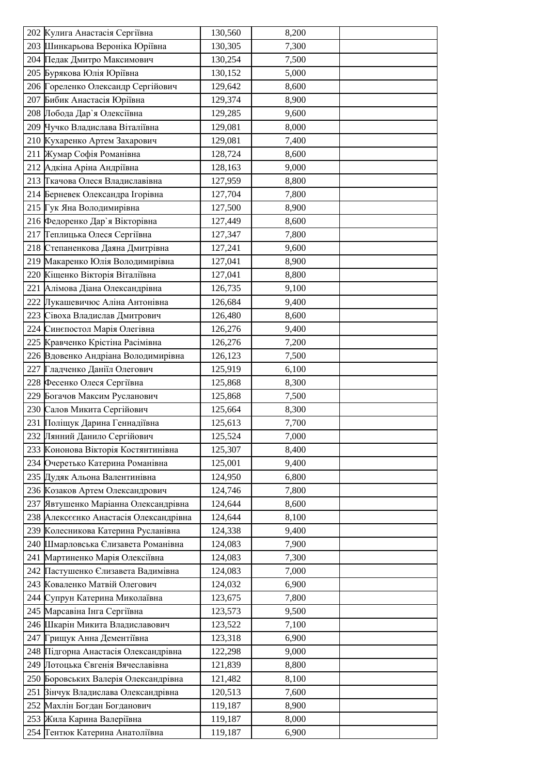|     | 202 Кулига Анастасія Сергіївна         | 130,560 | 8,200 |  |
|-----|----------------------------------------|---------|-------|--|
|     | 203 Шинкарьова Вероніка Юріївна        | 130,305 | 7,300 |  |
|     | 204 Педак Дмитро Максимович            | 130,254 | 7,500 |  |
|     | 205 Бурякова Юлія Юріївна              | 130,152 | 5,000 |  |
|     | 206 Гореленко Олександр Сергійович     | 129,642 | 8,600 |  |
|     | 207 Бибик Анастасія Юріївна            | 129,374 | 8,900 |  |
|     | 208 Лобода Дар'я Олексіївна            | 129,285 | 9,600 |  |
|     | 209 Чучко Владислава Віталіївна        | 129,081 | 8,000 |  |
|     | 210 Кухаренко Артем Захарович          | 129,081 | 7,400 |  |
|     | 211 Жумар Софія Романівна              | 128,724 | 8,600 |  |
|     | 212 Адкіна Аріна Андріївна             | 128,163 | 9,000 |  |
|     | 213 Ткачова Олеся Владиславівна        | 127,959 | 8,800 |  |
|     | 214 Берневек Олександра Ігорівна       | 127,704 | 7,800 |  |
|     | 215 Гук Яна Володимирівна              | 127,500 | 8,900 |  |
|     | 216 Федоренко Дар'я Вікторівна         | 127,449 | 8,600 |  |
|     | 217 Геплицька Олеся Сергіївна          | 127,347 | 7,800 |  |
|     | 218 Степаненкова Даяна Дмитрівна       | 127,241 | 9,600 |  |
|     | 219 Макаренко Юлія Володимирівна       | 127,041 | 8,900 |  |
|     | 220 Кіщенко Вікторія Віталіївна        | 127,041 | 8,800 |  |
|     | 221 Алімова Діана Олександрівна        | 126,735 | 9,100 |  |
|     | 222 Лукашевичюс Аліна Антонівна        | 126,684 | 9,400 |  |
|     | 223 Сівоха Владислав Дмитрович         | 126,480 | 8,600 |  |
|     | 224 Синєпостол Марія Олегівна          | 126,276 | 9,400 |  |
|     | 225 Кравченко Крістіна Расімівна       | 126,276 | 7,200 |  |
|     | 226 Вдовенко Андріана Володимирівна    | 126,123 | 7,500 |  |
| 227 | Гладченко Даніїл Олегович              | 125,919 | 6,100 |  |
|     | 228 Фесенко Олеся Сергіївна            | 125,868 | 8,300 |  |
|     | 229 Богачов Максим Русланович          | 125,868 | 7,500 |  |
|     | 230 Салов Микита Сергійович            | 125,664 | 8,300 |  |
|     | 231 Поліщук Дарина Геннадіївна         | 125,613 | 7,700 |  |
|     | 232 Лянний Данило Сергійович           | 125,524 | 7,000 |  |
|     | 233 Кононова Вікторія Костянтинівна    | 125,307 | 8,400 |  |
|     | 234 Очеретько Катерина Романівна       | 125,001 | 9,400 |  |
|     | 235 Дудяк Альона Валентинівна          | 124,950 | 6,800 |  |
|     | 236 Козаков Артем Олександрович        | 124,746 | 7,800 |  |
|     | 237 Явтушенко Маріанна Олександрівна   | 124,644 | 8,600 |  |
|     | 238 Алексеенко Анастасія Олександрівна | 124,644 | 8,100 |  |
|     | 239 Колесникова Катерина Русланівна    | 124,338 | 9,400 |  |
|     | 240 Шмарловська Єлизавета Романівна    | 124,083 | 7,900 |  |
|     | 241 Мартиненко Марія Олексіївна        | 124,083 | 7,300 |  |
|     | 242 Пастушенко Єлизавета Вадимівна     | 124,083 | 7,000 |  |
|     | 243 Коваленко Матвій Олегович          | 124,032 | 6,900 |  |
|     | 244 Супрун Катерина Миколаївна         | 123,675 | 7,800 |  |
|     | 245 Марсавіна Інга Сергіївна           | 123,573 | 9,500 |  |
|     | 246 Шкарін Микита Владиславович        | 123,522 | 7,100 |  |
|     | 247 Грищук Анна Дементіївна            | 123,318 | 6,900 |  |
|     | 248 Підгорна Анастасія Олександрівна   | 122,298 | 9,000 |  |
|     | 249 Потоцька Євгенія Вячеславівна      | 121,839 | 8,800 |  |
|     | 250 Боровських Валерія Олександрівна   | 121,482 | 8,100 |  |
|     | 251 Вінчук Владислава Олександрівна    | 120,513 | 7,600 |  |
| 252 | Махлін Богдан Богданович               | 119,187 | 8,900 |  |
|     | 253 Жила Карина Валеріївна             | 119,187 | 8,000 |  |
|     | 254 Гентюк Катерина Анатоліївна        | 119,187 | 6,900 |  |